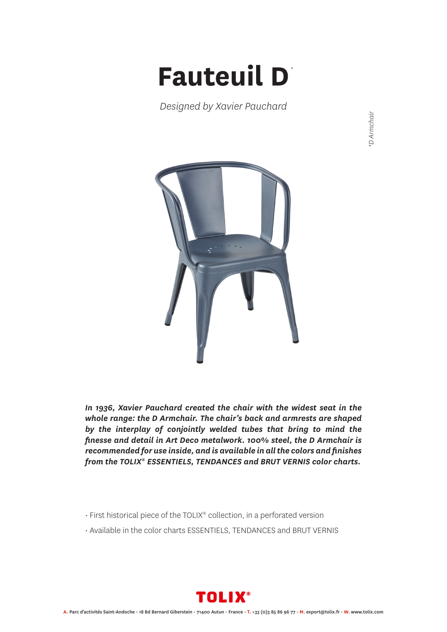## **Fauteuil D** *\**

*Designed by Xavier Pauchard*

\*D Armchair *\*D Armchair*



*In 1936, Xavier Pauchard created the chair with the widest seat in the whole range: the D Armchair. The chair's back and armrests are shaped by the interplay of conjointly welded tubes that bring to mind the finesse and detail in Art Deco metalwork. 100% steel, the D Armchair is recommended for use inside, and is available in all the colors and finishes from the TOLIX® ESSENTIELS, TENDANCES and BRUT VERNIS color charts.*

- First historical piece of the TOLIX® collection, in a perforated version
- Available in the color charts ESSENTIELS, TENDANCES and BRUT VERNIS